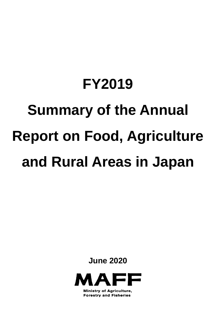# **FY2019 Summary of the Annual Report on Food, Agriculture and Rural Areas in Japan**

**June 2020**



**Ministry of Agriculture, Forestry and Fisheries**